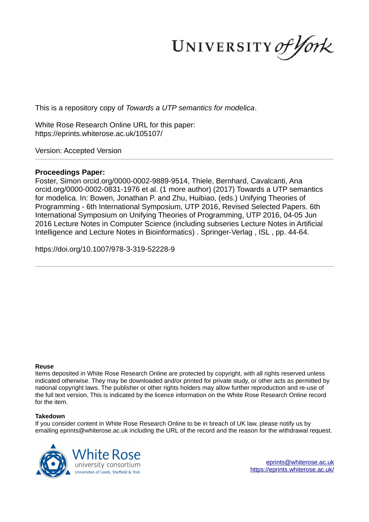UNIVERSITY of York

This is a repository copy of *Towards a UTP semantics for modelica*.

White Rose Research Online URL for this paper: https://eprints.whiterose.ac.uk/105107/

Version: Accepted Version

# **Proceedings Paper:**

Foster, Simon orcid.org/0000-0002-9889-9514, Thiele, Bernhard, Cavalcanti, Ana orcid.org/0000-0002-0831-1976 et al. (1 more author) (2017) Towards a UTP semantics for modelica. In: Bowen, Jonathan P. and Zhu, Huibiao, (eds.) Unifying Theories of Programming - 6th International Symposium, UTP 2016, Revised Selected Papers. 6th International Symposium on Unifying Theories of Programming, UTP 2016, 04-05 Jun 2016 Lecture Notes in Computer Science (including subseries Lecture Notes in Artificial Intelligence and Lecture Notes in Bioinformatics) . Springer-Verlag , ISL , pp. 44-64.

https://doi.org/10.1007/978-3-319-52228-9

## **Reuse**

Items deposited in White Rose Research Online are protected by copyright, with all rights reserved unless indicated otherwise. They may be downloaded and/or printed for private study, or other acts as permitted by national copyright laws. The publisher or other rights holders may allow further reproduction and re-use of the full text version. This is indicated by the licence information on the White Rose Research Online record for the item.

## **Takedown**

If you consider content in White Rose Research Online to be in breach of UK law, please notify us by emailing eprints@whiterose.ac.uk including the URL of the record and the reason for the withdrawal request.



eprints@whiterose.ac.uk https://eprints.whiterose.ac.uk/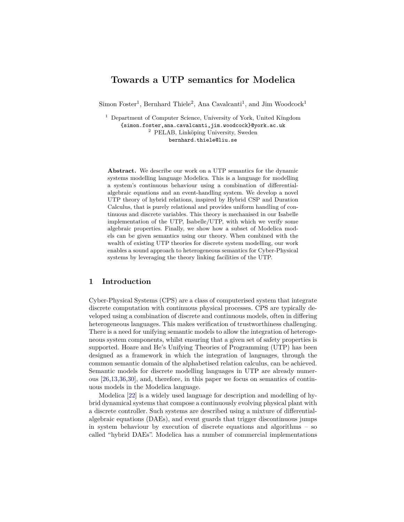# **Towards a UTP semantics for Modelica**

Simon Foster<sup>1</sup>, Bernhard Thiele<sup>2</sup>, Ana Cavalcanti<sup>1</sup>, and Jim Woodcock<sup>1</sup>

<sup>1</sup> Department of Computer Science, University of York, United Kingdom {simon.foster,ana.cavalcanti,jim.woodcock}@york.ac.uk <sup>2</sup> PELAB, Linköping University, Sweden bernhard.thiele@liu.se

Abstract. We describe our work on a UTP semantics for the dynamic systems modelling language Modelica. This is a language for modelling a system's continuous behaviour using a combination of differentialalgebraic equations and an event-handling system. We develop a novel UTP theory of hybrid relations, inspired by Hybrid CSP and Duration Calculus, that is purely relational and provides uniform handling of continuous and discrete variables. This theory is mechanised in our Isabelle implementation of the UTP, Isabelle/UTP, with which we verify some algebraic properties. Finally, we show how a subset of Modelica models can be given semantics using our theory. When combined with the wealth of existing UTP theories for discrete system modelling, our work enables a sound approach to heterogeneous semantics for Cyber-Physical systems by leveraging the theory linking facilities of the UTP.

# **1 Introduction**

Cyber-Physical Systems (CPS) are a class of computerised system that integrate discrete computation with continuous physical processes. CPS are typically developed using a combination of discrete and continuous models, often in differing heterogeneous languages. This makes verification of trustworthiness challenging. There is a need for unifying semantic models to allow the integration of heterogeneous system components, whilst ensuring that a given set of safety properties is supported. Hoare and He's Unifying Theories of Programming (UTP) has been designed as a framework in which the integration of languages, through the common semantic domain of the alphabetised relation calculus, can be achieved. Semantic models for discrete modelling languages in UTP are already numerous [26,13,36,30], and, therefore, in this paper we focus on semantics of continuous models in the Modelica language.

Modelica [22] is a widely used language for description and modelling of hybrid dynamical systems that compose a continuously evolving physical plant with a discrete controller. Such systems are described using a mixture of differentialalgebraic equations (DAEs), and event guards that trigger discontinuous jumps in system behaviour by execution of discrete equations and algorithms – so called "hybrid DAEs". Modelica has a number of commercial implementations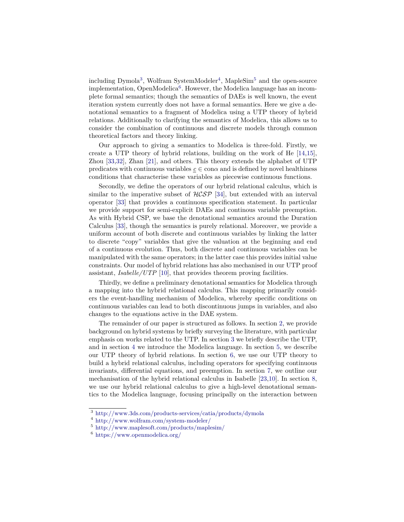including Dymola<sup>3</sup>, Wolfram SystemModeler<sup>4</sup>, MapleSim<sup>5</sup> and the open-source implementation, OpenModelica<sup>6</sup>. However, the Modelica language has an incomplete formal semantics; though the semantics of DAEs is well known, the event iteration system currently does not have a formal semantics. Here we give a denotational semantics to a fragment of Modelica using a UTP theory of hybrid relations. Additionally to clarifying the semantics of Modelica, this allows us to consider the combination of continuous and discrete models through common theoretical factors and theory linking.

Our approach to giving a semantics to Modelica is three-fold. Firstly, we create a UTP theory of hybrid relations, building on the work of He [14,15], Zhou [33,32], Zhan [21], and others. This theory extends the alphabet of UTP predicates with continuous variables  $c \in \text{con}\alpha$  and is defined by novel healthiness conditions that characterise these variables as piecewise continuous functions.

Secondly, we define the operators of our hybrid relational calculus, which is similar to the imperative subset of  $HCSP$  [34], but extended with an interval operator [33] that provides a continuous specification statement. In particular we provide support for semi-explicit DAEs and continous variable preemption. As with Hybrid CSP, we base the denotational semantics around the Duration Calculus [33], though the semantics is purely relational. Moreover, we provide a uniform account of both discrete and continuous variables by linking the latter to discrete "copy" variables that give the valuation at the beginning and end of a continuous evolution. Thus, both discrete and continuous variables can be manipulated with the same operators; in the latter case this provides initial value constraints. Our model of hybrid relations has also mechanised in our UTP proof assistant, *Isabelle/UTP* [10], that provides theorem proving facilities.

Thirdly, we define a preliminary denotational semantics for Modelica through a mapping into the hybrid relational calculus. This mapping primarily considers the event-handling mechanism of Modelica, whereby specific conditions on continuous variables can lead to both discontinuous jumps in variables, and also changes to the equations active in the DAE system.

The remainder of our paper is structured as follows. In section 2, we provide background on hybrid systems by briefly surveying the literature, with particular emphasis on works related to the UTP. In section 3 we briefly describe the UTP, and in section 4 we introduce the Modelica language. In section 5, we describe our UTP theory of hybrid relations. In section 6, we use our UTP theory to build a hybrid relational calculus, including operators for specifying continuous invariants, differential equations, and preemption. In section 7, we outline our mechanisation of the hybrid relational calculus in Isabelle [23,10]. In section 8, we use our hybrid relational calculus to give a high-level denotational semantics to the Modelica language, focusing principally on the interaction between

<sup>3</sup> http://www.3ds.com/products-services/catia/products/dymola

<sup>4</sup> http://www.wolfram.com/system-modeler/

<sup>5</sup> http://www.maplesoft.com/products/maplesim/

<sup>6</sup> https://www.openmodelica.org/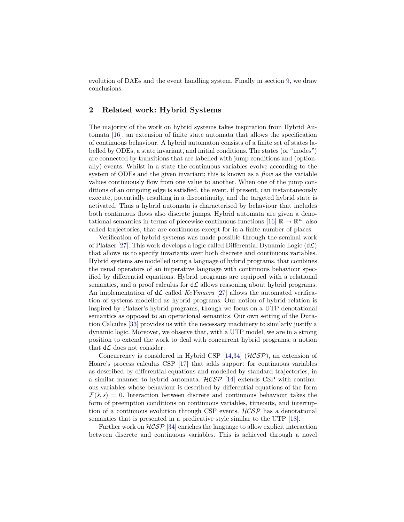evolution of DAEs and the event handling system. Finally in section 9, we draw conclusions.

# **2 Related work: Hybrid Systems**

The majority of the work on hybrid systems takes inspiration from Hybrid Automata [16], an extension of finite state automata that allows the specification of continuous behaviour. A hybrid automaton consists of a finite set of states labelled by ODEs, a state invariant, and initial conditions. The states (or "modes") are connected by transitions that are labelled with jump conditions and (optionally) events. Whilst in a state the continuous variables evolve according to the system of ODEs and the given invariant; this is known as a *flow* as the variable values continuously flow from one value to another. When one of the jump conditions of an outgoing edge is satisfied, the event, if present, can instantaneously execute, potentially resulting in a discontinuity, and the targeted hybrid state is activated. Thus a hybrid automata is characterised by behaviour that includes both continuous flows also discrete jumps. Hybrid automata are given a denotational semantics in terms of piecewise continuous functions [16]  $\mathbb{R} \to \mathbb{R}^n$ , also called trajectories, that are continuous except for in a finite number of places.

Verification of hybrid systems was made possible through the seminal work of Platzer [27]. This work develops a logic called Differential Dynamic Logic  $(d\mathcal{L})$ that allows us to specify invariants over both discrete and continuous variables. Hybrid systems are modelled using a language of hybrid programs, that combines the usual operators of an imperative language with continuous behaviour specified by differential equations. Hybrid programs are equipped with a relational semantics, and a proof calculus for  $d\mathcal{L}$  allows reasoning about hybrid programs. An implementation of  $d\mathcal{L}$  called *KeYmaera* [27] allows the automated verification of systems modelled as hybrid programs. Our notion of hybrid relation is inspired by Platzer's hybrid programs, though we focus on a UTP denotational semantics as opposed to an operational semantics. Our own setting of the Duration Calculus [33] provides us with the necessary machinery to similarly justify a dynamic logic. Moreover, we observe that, with a UTP model, we are in a strong position to extend the work to deal with concurrent hybrid programs, a notion that  $d\mathcal{L}$  does not consider.

Concurrency is considered in Hybrid CSP [14,34]  $(HCSP)$ , an extension of Hoare's process calculus CSP [17] that adds support for continuous variables as described by differential equations and modelled by standard trajectories, in a similar manner to hybrid automata.  $H\mathcal{CSP}$  [14] extends CSP with continuous variables whose behaviour is described by differential equations of the form  $\mathcal{F}(s, s) = 0$ . Interaction between discrete and continuous behaviour takes the form of preemption conditions on continuous variables, timeouts, and interruption of a continuous evolution through CSP events. HCSP has a denotational semantics that is presented in a predicative style similar to the UTP [18].

Further work on  $HCSP$  [34] enriches the language to allow explicit interaction between discrete and continuous variables. This is achieved through a novel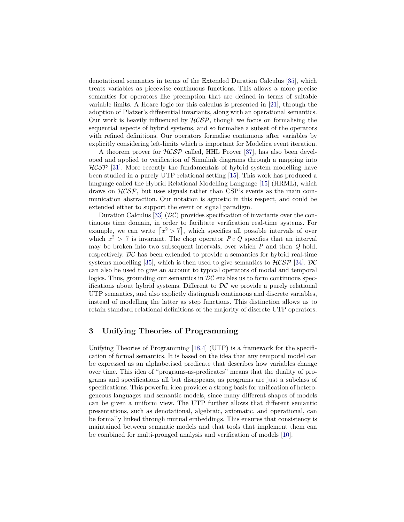denotational semantics in terms of the Extended Duration Calculus [35], which treats variables as piecewise continuous functions. This allows a more precise semantics for operators like preemption that are defined in terms of suitable variable limits. A Hoare logic for this calculus is presented in [21], through the adoption of Platzer's differential invariants, along with an operational semantics. Our work is heavily influenced by  $HCSP$ , though we focus on formalising the sequential aspects of hybrid systems, and so formalise a subset of the operators with refined definitions. Our operators formalise continuous after variables by explicitly considering left-limits which is important for Modelica event iteration.

A theorem prover for  $H\mathcal{CSP}$  called, HHL Prover [37], has also been developed and applied to verification of Simulink diagrams through a mapping into  $HCSP$  [31]. More recently the fundamentals of hybrid system modelling have been studied in a purely UTP relational setting [15]. This work has produced a language called the Hybrid Relational Modelling Language [15] (HRML), which draws on  $HCSP$ , but uses signals rather than CSP's events as the main communication abstraction. Our notation is agnostic in this respect, and could be extended either to support the event or signal paradigm.

Duration Calculus [33]  $(\mathcal{D}\mathcal{C})$  provides specification of invariants over the continuous time domain, in order to facilitate verification real-time systems. For example, we can write  $\lceil x^2 \rceil$ , which specifies all possible intervals of over which  $x^2 > 7$  is invariant. The chop operator  $P \circ Q$  specifies that an interval may be broken into two subsequent intervals, over which *P* and then *Q* hold, respectively. DC has been extended to provide a semantics for hybrid real-time systems modelling [35], which is then used to give semantics to  $H\mathcal{C}S\mathcal{P}$  [34]. DC can also be used to give an account to typical operators of modal and temporal logics. Thus, grounding our semantics in  $\mathcal{DC}$  enables us to form continuous specifications about hybrid systems. Different to  $\mathcal{DC}$  we provide a purely relational UTP semantics, and also explictly distinguish continuous and discrete variables, instead of modelling the latter as step functions. This distinction allows us to retain standard relational definitions of the majority of discrete UTP operators.

### **3 Unifying Theories of Programming**

Unifying Theories of Programming [18,4] (UTP) is a framework for the specification of formal semantics. It is based on the idea that any temporal model can be expressed as an alphabetised predicate that describes how variables change over time. This idea of "programs-as-predicates" means that the duality of programs and specifications all but disappears, as programs are just a subclass of specifications. This powerful idea provides a strong basis for unification of heterogeneous languages and semantic models, since many different shapes of models can be given a uniform view. The UTP further allows that different semantic presentations, such as denotational, algebraic, axiomatic, and operational, can be formally linked through mutual embeddings. This ensures that consistency is maintained between semantic models and that tools that implement them can be combined for multi-pronged analysis and verification of models [10].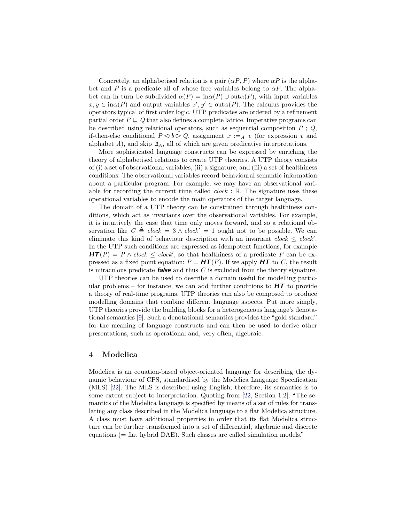Concretely, an alphabetised relation is a pair  $(\alpha P, P)$  where  $\alpha P$  is the alphabet and *P* is a predicate all of whose free variables belong to  $\alpha P$ . The alphabet can in turn be subdivided  $\alpha(P) = \text{in}\alpha(P) \cup \text{out}\alpha(P)$ , with input variables  $x, y \in \text{in}\alpha(P)$  and output variables  $x', y' \in \text{out}\alpha(P)$ . The calculus provides the operators typical of first order logic. UTP predicates are ordered by a refinement partial order  $P \sqsubseteq Q$  that also defines a complete lattice. Imperative programs can be described using relational operators, such as sequential composition *P* ; *Q*, if-then-else conditional  $P \triangleleft b \triangleright Q$ , assignment  $x := A$  *v* (for expression *v* and alphabet  $A$ ), and skip  $I\mathcal{I}_A$ , all of which are given predicative interpretations.

More sophisticated language constructs can be expressed by enriching the theory of alphabetised relations to create UTP theories. A UTP theory consists of (i) a set of observational variables, (ii) a signature, and (iii) a set of healthiness conditions. The observational variables record behavioural semantic information about a particular program. For example, we may have an observational variable for recording the current time called *clock* : R. The signature uses these operational variables to encode the main operators of the target language.

The domain of a UTP theory can be constrained through healthiness conditions, which act as invariants over the observational variables. For example, it is intuitively the case that time only moves forward, and so a relational observation like  $C \triangleq clock = 3 \wedge clock' = 1$  ought not to be possible. We can eliminate this kind of behaviour description with an invariant  $clock \leq clock'$ . In the UTP such conditions are expressed as idempotent functions, for example **HT**(*P*) = *P* ∧ *clock* ≤ *clock'*, so that healthiness of a predicate *P* can be expressed as a fixed point equation:  $P = HT(P)$ . If we apply HT to C, the result is miraculous predicate **false** and thus *C* is excluded from the theory signature.

UTP theories can be used to describe a domain useful for modelling particular problems – for instance, we can add further conditions to  $HT$  to provide a theory of real-time programs. UTP theories can also be composed to produce modelling domains that combine different language aspects. Put more simply, UTP theories provide the building blocks for a heterogeneous language's denotational semantics [9]. Such a denotational semantics provides the "gold standard" for the meaning of language constructs and can then be used to derive other presentations, such as operational and, very often, algebraic.

# **4 Modelica**

Modelica is an equation-based object-oriented language for describing the dynamic behaviour of CPS, standardised by the Modelica Language Specification (MLS) [22]. The MLS is described using English; therefore, its semantics is to some extent subject to interpretation. Quoting from [22, Section 1.2]: "The semantics of the Modelica language is specified by means of a set of rules for translating any class described in the Modelica language to a flat Modelica structure. A class must have additional properties in order that its flat Modelica structure can be further transformed into a set of differential, algebraic and discrete equations (= flat hybrid DAE). Such classes are called simulation models."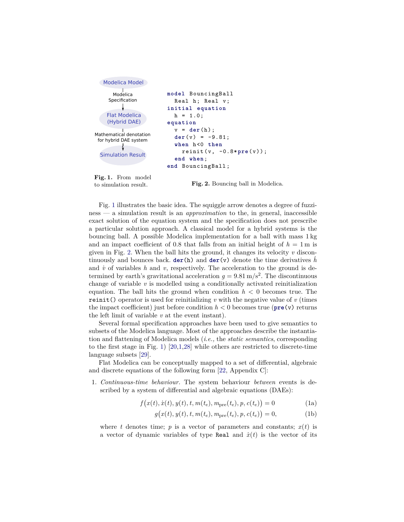```
Modelica Model
      Modelica
                        model BouncingBall
    Specification
                           Real h; Real v;
         ↓
                        initial equation
    Flat Modelica
                           h = 1.0;(Hybrid DAE)
                        equation
                           v = der (h);
Mathematical denotation
                           der(v) = -9.81;for hybrid DAE system
                           when h<0 then
         \frac{2}{3}reinit (v, -0.8* pre (v));
 Simulation Result
                           end when ;
                        end BouncingBall ;
```
**Fig. 1.** From model to simulation result.

**Fig. 2.** Bouncing ball in Modelica.

Fig. 1 illustrates the basic idea. The squiggle arrow denotes a degree of fuzziness — a simulation result is an *approximation* to the, in general, inaccessible exact solution of the equation system and the specification does not prescribe a particular solution approach. A classical model for a hybrid systems is the bouncing ball. A possible Modelica implementation for a ball with mass 1 kg and an impact coefficient of 0.8 that falls from an initial height of  $h = 1$  m is given in Fig. 2. When the ball hits the ground, it changes its velocity *v* discontinuously and bounces back.  $\text{der}(h)$  and  $\text{der}(v)$  denote the time derivatives *h* and  $\dot{v}$  of variables  $h$  and  $v$ , respectively. The acceleration to the ground is determined by earth's gravitational acceleration  $g = 9.81 \,\mathrm{m/s^2}$ . The discontinuous change of variable *v* is modelled using a conditionally activated reinitialization equation. The ball hits the ground when condition  $h < 0$  becomes true. The reinit() operator is used for reinitializing  $v$  with the negative value of  $v$  (times the impact coefficient) just before condition  $h < 0$  becomes true ( $pre(v)$  returns the left limit of variable *v* at the event instant).

Several formal specification approaches have been used to give semantics to subsets of the Modelica language. Most of the approaches describe the instantiation and flattening of Modelica models (*i.e.,* the *static semantics*, corresponding to the first stage in Fig. 1) [20,1,28] while others are restricted to discrete-time language subsets [29].

Flat Modelica can be conceptually mapped to a set of differential, algebraic and discrete equations of the following form [22, Appendix C]:

1. *Continuous-time behaviour.* The system behaviour *between* events is described by a system of differential and algebraic equations (DAEs):

$$
f(x(t), \dot{x}(t), y(t), t, m(t_e), m_{pre}(t_e), p, c(t_e)) = 0
$$
 (1a)

$$
g(x(t), y(t), t, m(t_e), m_{pre}(t_e), p, c(t_e)) = 0,
$$
 (1b)

where *t* denotes time; *p* is a vector of parameters and constants;  $x(t)$  is a vector of dynamic variables of type Real and  $\dot{x}(t)$  is the vector of its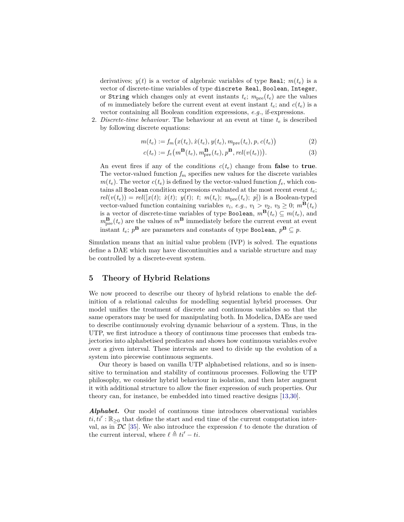derivatives;  $y(t)$  is a vector of algebraic variables of type Real;  $m(t_e)$  is a vector of discrete-time variables of type discrete Real, Boolean, Integer, or String which changes only at event instants  $t_e$ ;  $m_{\text{pre}}(t_e)$  are the values of *m* immediately before the current event at event instant  $t_e$ ; and  $c(t_e)$  is a vector containing all Boolean condition expressions, *e.g.*, if-expressions.

2. *Discrete-time behaviour.* The behaviour at an event at time *t<sup>e</sup>* is described by following discrete equations:

$$
m(t_e) := f_m(x(t_e), \dot{x}(t_e), y(t_e), m_{\text{pre}}(t_e), p, c(t_e))
$$
\n(2)

$$
c(t_e) := f_e(m^{\mathbf{B}}(t_e), m^{\mathbf{B}}_{\text{pre}}(t_e), p^{\mathbf{B}}, rel(v(t_e))).
$$
\n(3)

An event fires if any of the conditions  $c(t_e)$  change from **false** to **true**. The vector-valued function  $f_m$  specifies new values for the discrete variables  $m(t_e)$ . The vector  $c(t_e)$  is defined by the vector-valued function  $f_e$ , which contains all Boolean condition expressions evaluated at the most recent event *te*;  $rel(v(t_e)) = rel([x(t); \dot{x}(t); y(t); t; m(t_e); m_{\text{pre}}(t_e); p])$  is a Boolean-typed vector-valued function containing variables  $v_i$ ,  $e.g., v_1 > v_2, v_3 \geq 0$ ;  $m^{\mathbf{B}}(t_e)$ is a vector of discrete-time variables of type Boolean,  $m^{\mathbf{B}}(t_e) \subseteq m(t_e)$ , and  $m_{\text{pre}}^{\text{B}}(t_e)$  are the values of  $m^{\text{B}}$  immediately before the current event at event instant  $t_e$ ;  $p^{\mathbf{B}}$  are parameters and constants of type Boolean,  $p^{\mathbf{B}} \subseteq p$ .

Simulation means that an initial value problem (IVP) is solved. The equations define a DAE which may have discontinuities and a variable structure and may be controlled by a discrete-event system.

# **5 Theory of Hybrid Relations**

We now proceed to describe our theory of hybrid relations to enable the definition of a relational calculus for modelling sequential hybrid processes. Our model unifies the treatment of discrete and continuous variables so that the same operators may be used for manipulating both. In Modelica, DAEs are used to describe continuously evolving dynamic behaviour of a system. Thus, in the UTP, we first introduce a theory of continuous time processes that embeds trajectories into alphabetised predicates and shows how continuous variables evolve over a given interval. These intervals are used to divide up the evolution of a system into piecewise continuous segments.

Our theory is based on vanilla UTP alphabetised relations, and so is insensitive to termination and stability of continuous processes. Following the UTP philosophy, we consider hybrid behaviour in isolation, and then later augment it with additional structure to allow the finer expression of such properties. Our theory can, for instance, be embedded into timed reactive designs [13,30].

*Alphabet.* Our model of continuous time introduces observational variables  $ti, ti' : \mathbb{R}_{\geq 0}$  that define the start and end time of the current computation interval, as in  $\mathcal{DC}$  [35]. We also introduce the expression  $\ell$  to denote the duration of the current interval, where  $\ell \triangleq ti'-ti$ .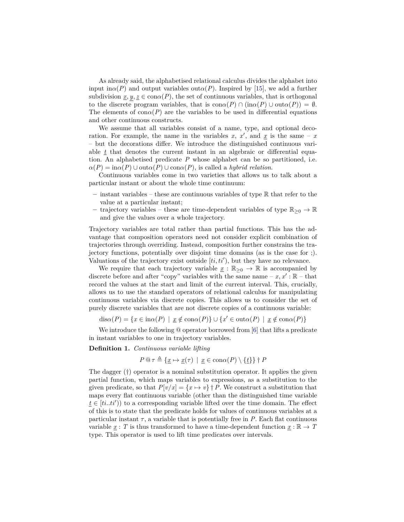As already said, the alphabetised relational calculus divides the alphabet into input in $\alpha(P)$  and output variables out $\alpha(P)$ . Inspired by [15], we add a further subdivision  $\underline{x}, y, \underline{z} \in \text{con}\alpha(P)$ , the set of continuous variables, that is orthogonal to the discrete program variables, that is  $\text{con}\alpha(P) \cap (\text{in}\alpha(P) \cup \text{out}\alpha(P)) = \emptyset$ . The elements of con $\alpha(P)$  are the variables to be used in differential equations and other continuous constructs.

We assume that all variables consist of a name, type, and optional decoration. For example, the name in the variables  $x, x'$ , and  $\underline{x}$  is the same –  $x$ – but the decorations differ. We introduce the distinguished continuous variable  $t$  that denotes the current instant in an algebraic or differential equation. An alphabetised predicate *P* whose alphabet can be so partitioned, i.e.  $\alpha(P) = \text{in}\alpha(P) \cup \text{out}\alpha(P) \cup \text{con}\alpha(P)$ , is called a *hybrid relation*.

Continuous variables come in two varieties that allows us to talk about a particular instant or about the whole time continuum:

- **–** instant variables these are continuous variables of type R that refer to the value at a particular instant;
- trajectory variables these are time-dependent variables of type  $\mathbb{R}_{\geq 0}$  →  $\mathbb{R}$ and give the values over a whole trajectory.

Trajectory variables are total rather than partial functions. This has the advantage that composition operators need not consider explicit combination of trajectories through overriding. Instead, composition further constrains the trajectory functions, potentially over disjoint time domains (as is the case for ;). Valuations of the trajectory exist outside  $[ti, ti'$ ), but they have no relevance.

We require that each trajectory variable  $\underline{x} : \mathbb{R}_{\geq 0} \to \mathbb{R}$  is accompanied by discrete before and after "copy" variables with the same name  $-x, x': \mathbb{R}$  – that record the values at the start and limit of the current interval. This, crucially, allows us to use the standard operators of relational calculus for manipulating continuous variables via discrete copies. This allows us to consider the set of purely discrete variables that are not discrete copies of a continuous variable:

dis $\alpha(P) = \{x \in \text{in}\alpha(P) \mid x \notin \text{con}\alpha(P)\} \cup \{x' \in \text{out}\alpha(P) \mid x \notin \text{con}\alpha(P)\}\$ 

We introduce the following @ operator borrowed from [6] that lifts a predicate in instant variables to one in trajectory variables.

**Definition 1.** *Continuous variable lifting*

*P* @ τ , {*x* 7→ *x*(τ ) | *x* ∈ conα(*P*) \ {*t*}} † *P*

The dagger (†) operator is a nominal substitution operator. It applies the given partial function, which maps variables to expressions, as a substitution to the given predicate, so that  $P[v/x] = \{x \mapsto v\}$   $\dagger$  *P*. We construct a substitution that maps every flat continuous variable (other than the distinguished time variable  $\underline{t} \in [t_i..t_i]$  to a corresponding variable lifted over the time domain. The effect of this is to state that the predicate holds for values of continuous variables at a particular instant  $\tau$ , a variable that is potentially free in  $P$ . Each flat continuous variable  $\underline{x}$ : *T* is thus transformed to have a time-dependent function  $\underline{x}$ :  $\mathbb{R} \to T$ type. This operator is used to lift time predicates over intervals.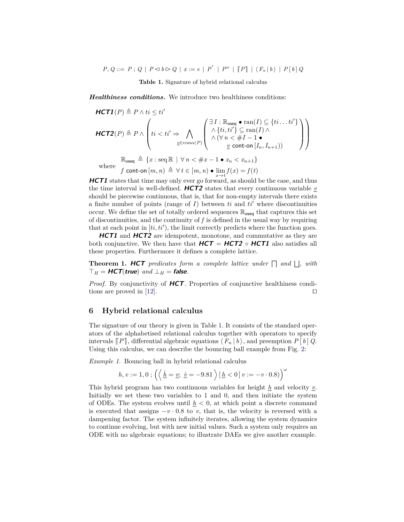$$
P, Q ::= P; Q | P \triangleleft b \triangleright Q | x := e | P^* | P^{\omega} | \mathbb{F}P \mathbb{F} | \langle F_n | b \rangle | P[b] Q
$$

**Table 1.** Signature of hybrid relational calculus

*Healthiness conditions.* We introduce two healthiness conditions:

**HCT1**(P) 
$$
\triangleq P \wedge ti \leq ti'
$$

\n**HCT2**(P) 
$$
\triangleq P \wedge \left( ti < ti' \Rightarrow \bigwedge_{\underline{v} \in \text{con}(P)} \left( \begin{array}{c} \exists I : \mathbb{R}_{\text{oseq}} \bullet \text{ran}(I) \subseteq \{ti \dots ti'\} \\ \wedge \{ti, ti'\} \subseteq \text{ran}(I) \wedge \\ \wedge (\forall n < \#I - 1 \bullet \\ \underline{v} \text{ cont-on}[I_n, I_{n+1})) \end{array} \right) \right)
$$

\n
$$
\mathbb{R}_{\text{oseq}} \triangleq \{x : \text{seq } \mathbb{R} \mid \forall n < \#x - 1 \bullet x_n < x_{n+1} \}
$$

\nwhere

\n
$$
f \text{ cont-on}[m, n) \triangleq \forall t \in [m, n) \bullet \lim_{x \to t} f(x) = f(t)
$$

**HCT1** states that time may only ever go forward, as should be the case, and thus the time interval is well-defined. **HCT2** states that every continuous variable  $\underline{v}$ should be piecewise continuous, that is, that for non-empty intervals there exists a finite number of points (range of  $I$ ) between  $ti$  and  $ti'$  where discontinuities occur. We define the set of totally ordered sequences  $\mathbb{R}_{\text{oseq}}$  that captures this set of discontinuities, and the continuity of  $f$  is defined in the usual way by requiring that at each point in  $[ti, ti']$ , the limit correctly predicts where the function goes.

**HCT1** and **HCT2** are idempotent, monotone, and commutative as they are both conjunctive. We then have that  $HCT = HCT2 \circ HCT1$  also satisfies all these properties. Furthermore it defines a complete lattice.

**Theorem 1. HCT** predicates form a complete lattice under  $\Box$  and  $\Box$ , with  $\top$ *H* = *HCT***(***true*) *and*  $\bot$ *H* = *false.* 

*Proof.* By conjunctivity of **HCT**. Properties of conjunctive healthiness conditions are proved in [12]. □

### **6 Hybrid relational calculus**

The signature of our theory is given in Table 1. It consists of the standard operators of the alphabetised relational calculus together with operators to specify intervals  $\llbracket P \rrbracket$ , differential algebraic equations  $\langle F_n | b \rangle$ , and preemption  $P | b | Q$ . Using this calculus, we can describe the bouncing ball example from Fig. 2:

*Example 1.* Bouncing ball in hybrid relational calculus

$$
h, v := 1, 0; \left( \left\langle \underline{\dot{h}} = \underline{v}; \ \underline{\dot{v}} = -9.81 \right\rangle [\underline{h} < 0] \ v := -v \cdot 0.8 \right) \right) \right) \omega
$$

This hybrid program has two continuous variables for height *h* and velocity *v*. Initially we set these two variables to 1 and 0, and then initiate the system of ODEs. The system evolves until  $h < 0$ , at which point a discrete command is executed that assigns  $-v \cdot 0.8$  to *v*, that is, the velocity is reversed with a dampening factor. The system infinitely iterates, allowing the system dynamics to continue evolving, but with new initial values. Such a system only requires an ODE with no algebraic equations; to illustrate DAEs we give another example.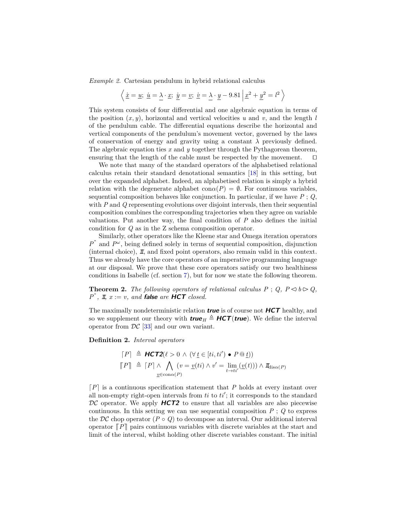*Example 2.* Cartesian pendulum in hybrid relational calculus

$$
\left\langle \underline{\dot{x}} = \underline{u}; \ \underline{\dot{u}} = \underline{\lambda} \cdot \underline{x}; \ \underline{\dot{y}} = \underline{v}; \ \underline{\dot{v}} = \underline{\lambda} \cdot \underline{y} - 9.81 \left| \underline{x}^2 + \underline{y}^2 = l^2 \right. \right\rangle
$$

This system consists of four differential and one algebraic equation in terms of the position  $(x, y)$ , horizontal and vertical velocities *u* and *v*, and the length *l* of the pendulum cable. The differential equations describe the horizontal and vertical components of the pendulum's movement vector, governed by the laws of conservation of energy and gravity using a constant  $\lambda$  previously defined. The algebraic equation ties *x* and *y* together through the Pythagorean theorem, ensuring that the length of the cable must be respected by the movement. ⊓⊔

We note that many of the standard operators of the alphabetised relational calculus retain their standard denotational semantics [18] in this setting, but over the expanded alphabet. Indeed, an alphabetised relation is simply a hybrid relation with the degenerate alphabet  $\text{con}\alpha(P) = \emptyset$ . For continuous variables, sequential composition behaves like conjunction. In particular, if we have *P* ; *Q*, with *P* and *Q* representing evolutions over disjoint intervals, then their sequential composition combines the corresponding trajectories when they agree on variable valuations. Put another way, the final condition of *P* also defines the initial condition for *Q* as in the Z schema composition operator.

Similarly, other operators like the Kleene star and Omega iteration operators  $P^*$  and  $P^{\omega}$ , being defined solely in terms of sequential composition, disjunction (internal choice),  $I\!I$ , and fixed point operators, also remain valid in this context. Thus we already have the core operators of an imperative programming language at our disposal. We prove that these core operators satisfy our two healthiness conditions in Isabelle (cf. section 7), but for now we state the following theorem.

**Theorem 2.** The following operators of relational calculus  $P$ ;  $Q$ ,  $P \triangleleft b \triangleright Q$ ,  $P^*$ ,  $\mathbb{I}$ ,  $x := v$ , and **false** are **HCT** closed.

The maximally nondeterministic relation **true** is of course not **HCT** healthy, and so we supplement our theory with **true**<sub>*H*</sub>  $\triangleq$  **HCT**(**true**). We define the interval operator from  $\mathcal{DC}$  [33] and our own variant.

**Definition 2.** *Interval operators*

$$
\begin{aligned}\n[P] &\triangleq \mathbf{HCT2}(\ell > 0 \land (\forall \underline{t} \in [ti, ti') \bullet P \mathbin{\textcircled{1}} \underline{t})) \\
[\![P]\!] &\triangleq [P] \land \bigwedge_{\underline{v} \in \text{con}\alpha(P)} (v = \underline{v}(ti) \land v' = \lim_{t \to ti'} (\underline{v}(t))) \land \overline{\mathbf{H}}_{\text{dis}\alpha(P)}\n\end{aligned}
$$

⌈*P*⌉ is a continuous specification statement that *P* holds at every instant over all non-empty right-open intervals from  $ti$  to  $ti'$ ; it corresponds to the standard DC operator. We apply **HCT2** to ensure that all variables are also piecewise continuous. In this setting we can use sequential composition  $P$ ;  $Q$  to express the  $DC$  chop operator  $(P \circ Q)$  to decompose an interval. Our additional interval operator  $\llbracket P \rrbracket$  pairs continuous variables with discrete variables at the start and limit of the interval, whilst holding other discrete variables constant. The initial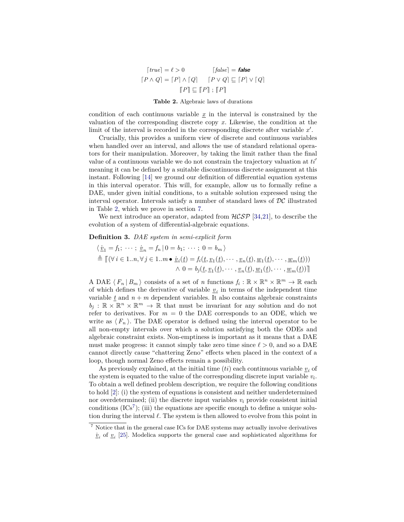$$
\begin{aligned}\n[\text{true}] &= \ell > 0 & [\text{false}] &= \text{false} \\
[P \land Q] &= [P] \land [Q] & [P \lor Q] \sqsubseteq [P] \lor [Q] \\
& \mathbb{F}P \mathbb{I} \subseteq \mathbb{F}P \mathbb{I} \; ; \, \mathbb{F}P \mathbb{I}\n\end{aligned}
$$

#### **Table 2.** Algebraic laws of durations

condition of each continuous variable *x* in the interval is constrained by the valuation of the corresponding discrete copy *x*. Likewise, the condition at the limit of the interval is recorded in the corresponding discrete after variable x'.

Crucially, this provides a uniform view of discrete and continuous variables when handled over an interval, and allows the use of standard relational operators for their manipulation. Moreover, by taking the limit rather than the final value of a continuous variable we do not constrain the trajectory valuation at  $ti'$ meaning it can be defined by a suitable discontinuous discrete assignment at this instant. Following [14] we ground our definition of differential equation systems in this interval operator. This will, for example, allow us to formally refine a DAE, under given initial conditions, to a suitable solution expressed using the interval operator. Intervals satisfy a number of standard laws of  $DC$  illustrated in Table 2, which we prove in section 7.

We next introduce an operator, adapted from  $H\mathcal{CSP}$  [34,21], to describe the evolution of a system of differential-algebraic equations.

#### **Definition 3.** *DAE system in semi-explicit form*

$$
\langle \underline{v}_1 = f_1; \cdots; \underline{v}_n = f_n | 0 = b_1; \cdots; 0 = b_m \rangle
$$
  
\n
$$
\triangleq \left[ \left( \forall i \in 1..n, \forall j \in 1..m \bullet \underline{v}_i(\underline{t}) = f_i(\underline{t}, \underline{v}_1(\underline{t}), \cdots, \underline{v}_n(\underline{t}), \underline{w}_1(\underline{t}), \cdots, \underline{w}_m(\underline{t})) \right) \right]
$$
  
\n
$$
\wedge 0 = b_j(\underline{t}, \underline{v}_1(\underline{t}), \cdots, \underline{v}_n(\underline{t}), \underline{w}_1(\underline{t}), \cdots, \underline{w}_m(\underline{t})) \right]
$$

A DAE  $\langle F_n | B_m \rangle$  consists of a set of *n* functions  $f_i : \mathbb{R} \times \mathbb{R}^n \times \mathbb{R}^m \to \mathbb{R}$  each of which defines the derivative of variable  $v_i$  in terms of the independent time variable  $t$  and  $n + m$  dependent variables. It also contains algebraic constraints  $b_j: \mathbb{R} \times \mathbb{R}^n \times \mathbb{R}^m \to \mathbb{R}$  that must be invariant for any solution and do not refer to derivatives. For  $m = 0$  the DAE corresponds to an ODE, which we write as  $\langle F_n \rangle$ . The DAE operator is defined using the interval operator to be all non-empty intervals over which a solution satisfying both the ODEs and algebraic constraint exists. Non-emptiness is important as it means that a DAE must make progress: it cannot simply take zero time since  $\ell > 0$ , and so a DAE cannot directly cause "chattering Zeno" effects when placed in the context of a loop, though normal Zeno effects remain a possibility.

As previously explained, at the initial time  $(ti)$  each continuous variable  $v_i$  of the system is equated to the value of the corresponding discrete input variable  $v_i$ . To obtain a well defined problem description, we require the following conditions to hold [2]: (i) the system of equations is consistent and neither underdetermined nor overdetermined; (ii) the discrete input variables  $v_i$  provide consistent initial conditions  $(ICs<sup>7</sup>)$ ; (iii) the equations are specific enough to define a unique solution during the interval  $\ell$ . The system is then allowed to evolve from this point in

 $^7$  Notice that in the general case ICs for DAE systems may actually involve derivatives  $\underline{v}_i$  of  $\underline{v}_i$  [25]. Modelica supports the general case and sophisticated algorithms for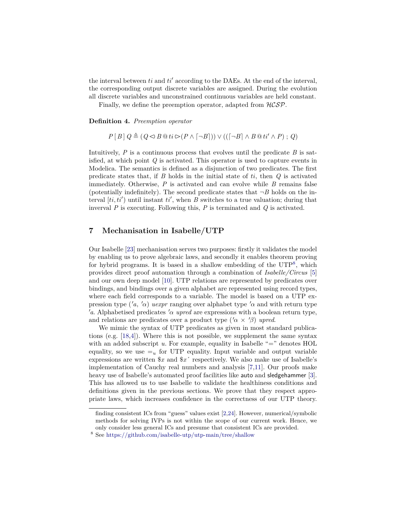the interval between  $ti$  and  $ti'$  according to the DAEs. At the end of the interval, the corresponding output discrete variables are assigned. During the evolution all discrete variables and unconstrained continuous variables are held constant.

Finally, we define the preemption operator, adapted from HCSP.

**Definition 4.** *Preemption operator*

$$
P[B] Q \triangleq (Q \triangleleft B \, @\, \text{ti} \, \triangleright (P \land \lceil \neg B \rceil)) \vee ((\lceil \neg B \rceil \land B \, @\, \text{ti}' \land P) \, ;\, Q)
$$

Intuitively, *P* is a continuous process that evolves until the predicate *B* is satisfied, at which point *Q* is activated. This operator is used to capture events in Modelica. The semantics is defined as a disjunction of two predicates. The first predicate states that, if *B* holds in the initial state of ti, then *Q* is activated immediately. Otherwise, *P* is activated and can evolve while *B* remains false (potentially indefinitely). The second predicate states that  $\neg B$  holds on the interval  $[ti, ti')$  until instant  $ti'$ , when *B* switches to a true valuation; during that inverval *P* is executing. Following this, *P* is terminated and *Q* is activated.

### **7 Mechanisation in Isabelle/UTP**

Our Isabelle [23] mechanisation serves two purposes: firstly it validates the model by enabling us to prove algebraic laws, and secondly it enables theorem proving for hybrid programs. It is based in a shallow embedding of the UTP<sup>8</sup>, which provides direct proof automation through a combination of *Isabelle/Circus* [5] and our own deep model [10]. UTP relations are represented by predicates over bindings, and bindings over a given alphabet are represented using record types, where each field corresponds to a variable. The model is based on a UTP expression type  $(a, 'a)$  *uexpr* ranging over alphabet type ' $\alpha$  and with return type ′*a*. Alphabetised predicates ′α *upred* are expressions with a boolean return type, and relations are predicates over a product type  $(\alpha \times \beta)$  upred.

We mimic the syntax of UTP predicates as given in most standard publications (e.g. [18,4]). Where this is not possible, we supplement the same syntax with an added subscript *u*. For example, equality in Isabelle "=" denotes HOL equality, so we use  $=_u$  for UTP equality. Input variable and output variable expressions are written \$*x* and \$*x*´ respectively. We also make use of Isabelle's implementation of Cauchy real numbers and analysis [7,11]. Our proofs make heavy use of Isabelle's automated proof facilities like auto and sledgehammer [3]. This has allowed us to use Isabelle to validate the healthiness conditions and definitions given in the previous sections. We prove that they respect appropriate laws, which increases confidence in the correctness of our UTP theory.

finding consistent ICs from "guess" values exist [2,24]. However, numerical/symbolic methods for solving IVPs is not within the scope of our current work. Hence, we only consider less general ICs and presume that consistent ICs are provided.

<sup>8</sup> See https://github.com/isabelle-utp/utp-main/tree/shallow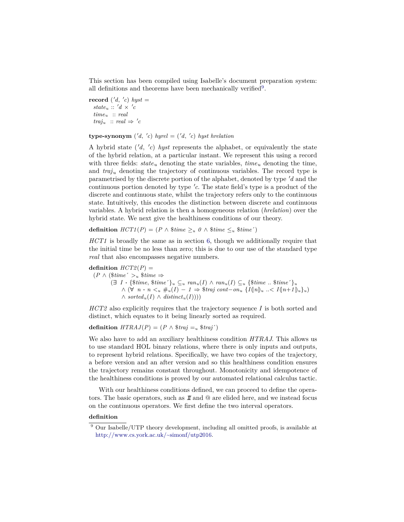This section has been compiled using Isabelle's document preparation system: all definitions and theorems have been mechanically verified<sup>9</sup>.

**record**  $('d, 'c)$  *hyst* = *state<sub>u</sub>* ::  $'d \times 'c$ *time<sup>u</sup>* :: *real traj*<sup>*u*</sup> :: *real*  $\Rightarrow 'c$ 

**type-synonym**  $(d, 'c)$  *hyrel* =  $(d, 'c)$  *hyst hrelation* 

A hybrid state ( ′*d*, ′ *c*) *hyst* represents the alphabet, or equivalently the state of the hybrid relation, at a particular instant. We represent this using a record with three fields:  $state_u$  denoting the state variables,  $time_u$  denoting the time, and  $traj<sub>u</sub>$  denoting the trajectory of continuous variables. The record type is parametrised by the discrete portion of the alphabet, denoted by type ′*d* and the continuous portion denoted by type ′ *c*. The state field's type is a product of the discrete and continuous state, whilst the trajectory refers only to the continuous state. Intuitively, this encodes the distinction between discrete and continuous variables. A hybrid relation is then a homogeneous relation (*hrelation*) over the hybrid state. We next give the healthiness conditions of our theory.

**definition**  $HCT1(P) = (P \wedge $time \geq_u 0 \wedge $time \leq_u $time')$ 

*HCT1* is broadly the same as in section 6, though we additionally require that the initial time be no less than zero; this is due to our use of the standard type *real* that also encompasses negative numbers.

#### **definition**  $HCT2(P) =$

(*P* ∧ (\$*time*´ >*<sup>u</sup>* \$*time* ⇒  $\{ \exists$  *I*  $\cdot$  {\$time, \$time'}<sub>u</sub>  $\subseteq$ <sub>u</sub>  $ran_u(I) \land ran_u(I) \subseteq$ <sub>u</sub> {\$time .. \$time'}<sub>u</sub>  $\wedge$   $(\forall n \cdot n \leq u \#_u(I) - 1 \Rightarrow$  \$*traj cont*−*on<sub>u</sub>*  $\{I(\lfloor n\rfloor_u \leq I(\lfloor n+1\rfloor_u)\})$ ∧ *sortedu*(*I*) ∧ *distinctu*(*I*))))

*HCT2* also explicitly requires that the trajectory sequence *I* is both sorted and distinct, which equates to it being linearly sorted as required.

**definition**  $HTRAJ(P) = (P \wedge $traj =_u $traj')$ 

We also have to add an auxiliary healthiness condition *HTRAJ*. This allows us to use standard HOL binary relations, where there is only inputs and outputs, to represent hybrid relations. Specifically, we have two copies of the trajectory, a before version and an after version and so this healthiness condition ensures the trajectory remains constant throughout. Monotonicity and idempotence of the healthiness conditions is proved by our automated relational calculus tactic.

With our healthiness conditions defined, we can proceed to define the operators. The basic operators, such as  $I\!I$  and  $@$  are elided here, and we instead focus on the continuous operators. We first define the two interval operators.

### **definition**

<sup>9</sup> Our Isabelle/UTP theory development, including all omitted proofs, is available at http://www.cs.york.ac.uk/~simonf/utp2016.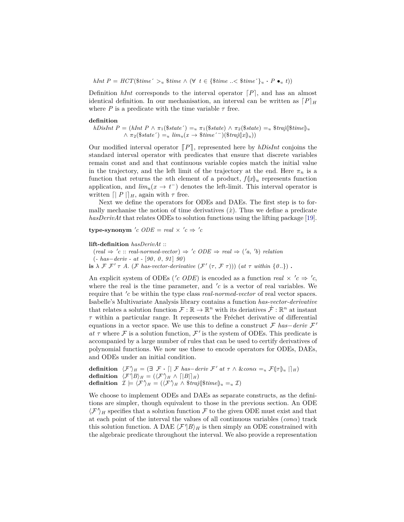$hInt P = HCT(\text{time'} > u \text{ time } \wedge (\forall t \in \{\text{time} \dots < \text{time'}\}_u \cdot P \bullet_u t))$ 

Definition  $hInt$  corresponds to the interval operator  $[P]$ , and has an almost identical definition. In our mechanisation, an interval can be written as  $[P]$ <sup>H</sup> where *P* is a predicate with the time variable  $\tau$  free.

#### **definition**

 $hDistint P = (hInt P \wedge \pi_1(\$state') = u \pi_1(\$state) \wedge \pi_2(\$state) = u \text{ $true}$  $\{while \} u$  $\land \pi_2(\$state') = u \ lim_u(x \to \$time'^{2}(\$traj(|x|)u))$ 

Our modified interval operator  $\llbracket P \rrbracket$ , represented here by *hDisInt* conjoins the standard interval operator with predicates that ensure that discrete variables remain const and and that continuous variable copies match the initial value in the trajectory, and the left limit of the trajectory at the end. Here  $\pi_n$  is a function that returns the *n*th element of a product,  $f(x)$ <sub>u</sub> represents function application, and  $\lim_{u} (x \to t^{-})$  denotes the left-limit. This interval operator is written  $[ | P | ]_H$ , again with  $\tau$  free.

Next we define the operators for ODEs and DAEs. The first step is to formally mechanise the notion of time derivatives  $(i)$ . Thus we define a predicate *hasDerivAt* that relates ODEs to solution functions using the lifting package [19].

 $\tt type-synonym'$ *c*  $ODE = real \times 'c \Rightarrow 'c$ 

#### **lift-definition** *hasDerivAt* ::

 $(\text{real} \Rightarrow 'c :: \text{real-normed-vector}) \Rightarrow 'c \text{ ODE} \Rightarrow \text{real} \Rightarrow ('a, 'b) \text{ relation}$ (*- has*−*deriv - at -* [*90* , *0* , *91* ] *90* ) **is**  $\lambda \mathcal{F} \mathcal{F}' \tau A$ . (*F* has-vector-derivative  $(\mathcal{F}'(\tau, \mathcal{F} \tau)))$  (at  $\tau$  within  $\{0..\}$ ).

An explicit system of ODEs ('c ODE) is encoded as a function *real*  $\times$  'c  $\Rightarrow$  'c, where the real is the time parameter, and ′ *c* is a vector of real variables. We require that ′ *c* be within the type class *real-normed-vector* of real vector spaces. Isabelle's Multivariate Analysis library contains a function *has-vector-derivative* that relates a solution function  $\mathcal{F} : \mathbb{R} \to \mathbb{R}^n$  with its deriatives  $\dot{\mathcal{F}} : \mathbb{R}^n$  at instant  $\tau$  within a particular range. It represents the Fréchet derivative of differential equations in a vector space. We use this to define a construct F *has*−*deriv* F ′ *at*  $\tau$  where  $\mathcal F$  is a solution function,  $\mathcal F'$  is the system of ODEs. This predicate is accompanied by a large number of rules that can be used to certify derivatives of polynomial functions. We now use these to encode operators for ODEs, DAEs, and ODEs under an initial condition.

**definition**  $\langle \mathcal{F}' \rangle_H = (\exists \mathcal{F} \cdot [\mathcal{F} \text{ has}-deriv \mathcal{F}' \text{ at } \tau \wedge \&\text{con} \alpha =_u \mathcal{F}(\mathcal{F})_u \mid H)$ **definition**  $\langle \mathcal{F}'|B \rangle_H = (\langle \mathcal{F}' \rangle_H \wedge [B \mid H]_H)$ **definition**  $\mathcal{I} \models \langle \mathcal{F}' \rangle_H = (\langle \mathcal{F}' \rangle_H \wedge \text{^{frac}}\langle \mathcal{I} \rangle_H \text{^{frac}})$ 

We choose to implement ODEs and DAEs as separate constructs, as the definitions are simpler, though equivalent to those in the previous section. An ODE  $\langle \mathcal{F} \rangle_H$  specifies that a solution function  $\mathcal F$  to the given ODE must exist and that at each point of the interval the values of all continuous variables  $(\text{con}\alpha)$  track this solution function. A DAE  $\langle \mathcal{F}' | B \rangle_H$  is then simply an ODE constrained with the algebraic predicate throughout the interval. We also provide a representation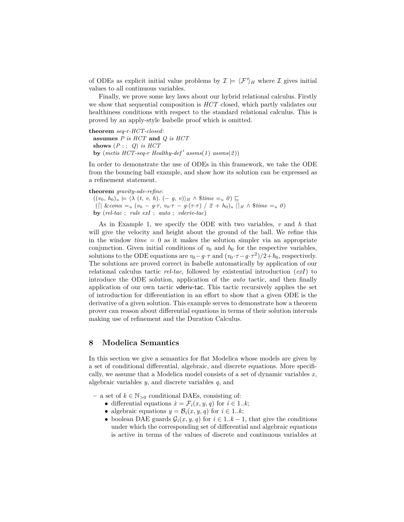of ODEs as explicit initial value problems by  $\mathcal{I} \models \langle \mathcal{F} \rangle_H$  where  $\mathcal{I}$  gives initial values to all continuous variables.

Finally, we prove some key laws about our hybrid relational calculus. Firstly we show that sequential composition is *HCT* closed, which partly validates our healthiness conditions with respect to the standard relational calculus. This is proved by an apply-style Isabelle proof which is omitted.

**theorem** *seq-r-HCT-closed*: **assumes** *P is HCT* **and** *Q is HCT* **shows** (*P* ; ; *Q*) *is HCT* **by**  $(metis HCT-seq-r$   $Healthy-def'$   $assms(1)$   $assms(2))$ 

In order to demonstrate the use of ODEs in this framework, we take the ODE from the bouncing ball example, and show how its solution can be expressed as a refinement statement.

**theorem** *gravity-ode-refine*:

 $((v_0, h_0)_u \models \langle \lambda (t, v, h). (-g, v) \rangle_H \wedge \$time =_u 0) \subseteq$  $([\&\&\operatorname{con}\alpha =_{u}(v_{0} - g\cdot\tau, v_{0}\cdot\tau - g\cdot(\tau\cdot\tau) / 2 + h_{0})_{u} ||_{H} \wedge \text{time} =_{u} 0)$ **by** (*rel-tac* ; *rule exI* ; *auto* ; *vderiv-tac*)

As in Example 1, we specify the ODE with two variables, *v* and *h* that will give the velocity and height about the ground of the ball. We refine this in the window  $time = 0$  as it makes the solution simpler via an appropriate conjunction. Given initial conditions of  $v_0$  and  $h_0$  for the respective variables, solutions to the ODE equations are  $v_0 - g \cdot \tau$  and  $(v_0 \cdot \tau - g \cdot \tau^2)/2 + h_0$ , respectively. The solutions are proved correct in Isabelle automatically by application of our relational calculus tactic *rel-tac*, followed by existential introduction (*exI*) to introduce the ODE solution, application of the *auto* tactic, and then finally application of our own tactic vderiv-tac. This tactic recursively applies the set of introduction for differentiation in an effort to show that a given ODE is the derivative of a given solution. This example serves to demonstrate how a theorem prover can reason about differential equations in terms of their solution intervals making use of refinement and the Duration Calculus.

### **8 Modelica Semantics**

In this section we give a semantics for flat Modelica whose models are given by a set of conditional differential, algebraic, and discrete equations. More specifically, we assume that a Modelica model consists of a set of dynamic variables *x*, algebraic variables *y*, and discrete variables *q*, and

- **–** a set of *k* ∈ N<sup>&</sup>gt;<sup>0</sup> conditional DAEs, consisting of:
	- differential equations  $\dot{x} = \mathcal{F}_i(x, y, q)$  for  $i \in 1..k$ ;
	- algebraic equations  $y = \mathcal{B}_i(x, y, q)$  for  $i \in 1..k$ ;
	- boolean DAE guards  $\mathcal{G}_i(x, y, q)$  for  $i \in 1..k-1$ , that give the conditions under which the corresponding set of differential and algebraic equations is active in terms of the values of discrete and continuous variables at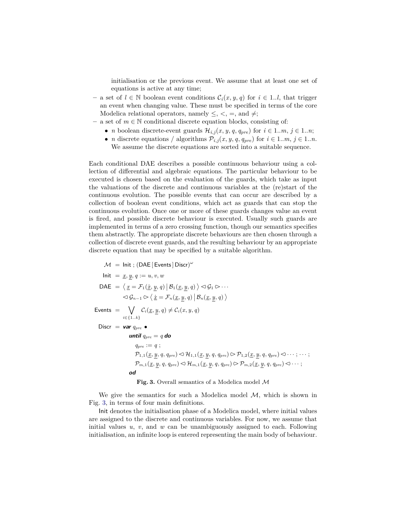initialisation or the previous event. We assume that at least one set of equations is active at any time;

- **–** a set of *l* ∈ N boolean event conditions C*i*(*x*, *y*, *q*) for *i* ∈ 1..*l*, that trigger an event when changing value. These must be specified in terms of the core Modelica relational operators, namely  $\leq, \leq, =,$  and  $\neq;$
- **–** a set of *m* ∈ N conditional discrete equation blocks, consisting of:
	- *n* boolean discrete-event guards  $\mathcal{H}_{i,j}(x, y, q, q_{pre})$  for  $i \in 1..m, j \in 1..n$ ;
	- *n* discrete equations / algorithms  $\mathcal{P}_{i,j}(x, y, q, q_{pre})$  for  $i \in 1..m, j \in 1..n$ . We assume the discrete equations are sorted into a suitable sequence.

Each conditional DAE describes a possible continuous behaviour using a collection of differential and algebraic equations. The particular behaviour to be executed is chosen based on the evaluation of the guards, which take as input the valuations of the discrete and continuous variables at the (re)start of the continuous evolution. The possible events that can occur are described by a collection of boolean event conditions, which act as guards that can stop the continuous evolution. Once one or more of these guards changes value an event is fired, and possible discrete behaviour is executed. Usually such guards are implemented in terms of a zero crossing function, though our semantics specifies them abstractly. The appropriate discrete behaviours are then chosen through a collection of discrete event guards, and the resulting behaviour by an appropriate discrete equation that may be specified by a suitable algorithm.

$$
\mathcal{M} = \text{Init}; (\text{DAE}[\text{Events}]\text{Discr})^{\omega}
$$
\n
$$
\text{Init} = \underline{x}, \underline{y}, q := u, v, w
$$
\n
$$
\text{DAE} = \left\langle \underline{x} = \mathcal{F}_1(\underline{\dot{x}}, \underline{y}, q) \, \middle| \, \mathcal{B}_1(\underline{x}, \underline{y}, q) \right\rangle \lhd \mathcal{G}_1 \rhd \cdots
$$
\n
$$
\lhd \mathcal{G}_{n-1} \rhd \left\langle \underline{\dot{x}} = \mathcal{F}_n(\underline{x}, \underline{y}, q) \, \middle| \, \mathcal{B}_n(\underline{x}, \underline{y}, q) \right\rangle
$$
\n
$$
\text{Events} = \bigvee_{i \in \{1..k\}} \mathcal{C}_i(\underline{x}, \underline{y}, q) \neq \mathcal{C}_i(x, y, q)
$$
\n
$$
\text{Discr} = \text{var}_{\text{pre}} \cdot \text{until } q_{\text{pre}} = q \text{ do}
$$
\n
$$
q_{\text{pre}} := q ;
$$
\n
$$
\mathcal{P}_{1,1}(\underline{x}, \underline{y}, q, q_{\text{pre}}) \lhd \mathcal{H}_{1,1}(\underline{x}, \underline{y}, q, q_{\text{pre}}) \rhd \mathcal{P}_{1,2}(\underline{x}, \underline{y}, q, q_{\text{pre}}) \lhd \cdots ; \cdots ;
$$
\n
$$
\mathcal{P}_{m,1}(\underline{x}, \underline{y}, q, q_{\text{pre}}) \lhd \mathcal{H}_{m,1}(\underline{x}, \underline{y}, q, q_{\text{pre}}) \rhd \mathcal{P}_{m,2}(\underline{x}, \underline{y}, q, q_{\text{pre}}) \lhd \cdots ;
$$
\n
$$
\text{od}
$$

**Fig. 3.** Overall semantics of a Modelica model M

We give the semantics for such a Modelica model  $M$ , which is shown in Fig. 3, in terms of four main definitions.

Init denotes the initialisation phase of a Modelica model, where initial values are assigned to the discrete and continuous variables. For now, we assume that initial values *u*, *v*, and *w* can be unambiguously assigned to each. Following initialisation, an infinite loop is entered representing the main body of behaviour.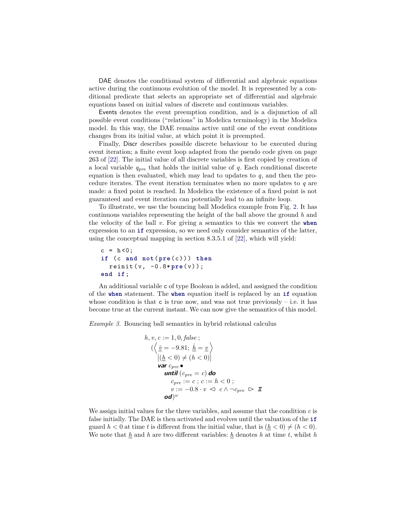DAE denotes the conditional system of differential and algebraic equations active during the continuous evolution of the model. It is represented by a conditional predicate that selects an appropriate set of differential and algebraic equations based on initial values of discrete and continuous variables.

Events denotes the event preemption condition, and is a disjunction of all possible event conditions ("relations" in Modelica terminology) in the Modelica model. In this way, the DAE remains active until one of the event conditions changes from its initial value, at which point it is preempted.

Finally, Discr describes possible discrete behaviour to be executed during event iteration; a finite event loop adapted from the pseudo code given on page 263 of [22]. The initial value of all discrete variables is first copied by creation of a local variable *qpre* that holds the initial value of *q*. Each conditional discrete equation is then evaluated, which may lead to updates to *q*, and then the procedure iterates. The event iteration terminates when no more updates to *q* are made: a fixed point is reached. In Modelica the existence of a fixed point is not guaranteed and event iteration can potentially lead to an infinite loop.

To illustrate, we use the bouncing ball Modelica example from Fig. 2. It has continuous variables representing the height of the ball above the ground *h* and the velocity of the ball *v*. For giving a semantics to this we convert the **when** expression to an **if** expression, so we need only consider semantics of the latter, using the conceptual mapping in section 8.3.5.1 of [22], which will yield:

```
c = h < 0;if (c and not( pre(c))) then
  reinit (v, -0.8* pre (v));
end if;
```
An additional variable c of type Boolean is added, and assigned the condition of the **when** statement. The **when** equation itself is replaced by an **if** equation whose condition is that c is true now, and was not true previously – i.e. it has become true at the current instant. We can now give the semantics of this model.

*Example 3.* Bouncing ball semantics in hybrid relational calculus

$$
h, v, c := 1, 0, false ;
$$
  
\n
$$
(\langle \underline{v} = -9.81; \underline{h} = \underline{v} \rangle)
$$
  
\n
$$
[(\underline{h} < 0) \neq (h < 0)]
$$
  
\n
$$
var c_{pre} \bullet
$$
  
\nuntil  $(c_{pre} = c)$  do  
\n
$$
c_{pre} := c \ ; c := h < 0 ;
$$
  
\n
$$
v := -0.8 \cdot v \iff c \land \neg c_{pre} \iff \mathbf{I}
$$
  
\n
$$
\text{od})^{\omega}
$$

We assign initial values for the three variables, and assume that the condition *c* is false initially. The DAE is then activated and evolves until the valuation of the **if** guard  $h < 0$  at time *t* is different from the initial value, that is  $(h < 0) \neq (h < 0)$ . We note that  $\underline{h}$  and  $h$  are two different variables:  $\underline{h}$  denotes  $h$  at time  $t$ , whilst  $h$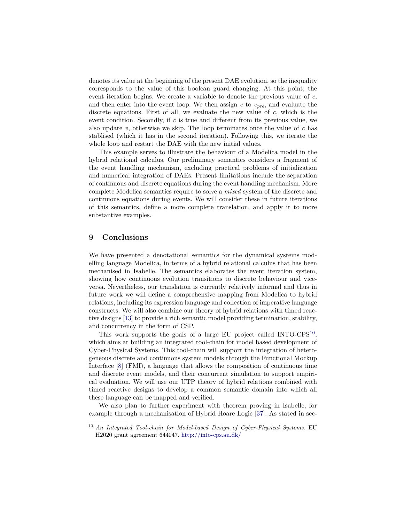denotes its value at the beginning of the present DAE evolution, so the inequality corresponds to the value of this boolean guard changing. At this point, the event iteration begins. We create a variable to denote the previous value of *c*, and then enter into the event loop. We then assign  $c$  to  $c_{pre}$ , and evaluate the discrete equations. First of all, we evaluate the new value of *c*, which is the event condition. Secondly, if *c* is true and different from its previous value, we also update *v*, otherwise we skip. The loop terminates once the value of *c* has stablised (which it has in the second iteration). Following this, we iterate the whole loop and restart the DAE with the new initial values.

This example serves to illustrate the behaviour of a Modelica model in the hybrid relational calculus. Our preliminary semantics considers a fragment of the event handling mechanism, excluding practical problems of initialization and numerical integration of DAEs. Present limitations include the separation of continuous and discrete equations during the event handling mechanism. More complete Modelica semantics require to solve a *mixed* system of the discrete and continuous equations during events. We will consider these in future iterations of this semantics, define a more complete translation, and apply it to more substantive examples.

## **9 Conclusions**

We have presented a denotational semantics for the dynamical systems modelling language Modelica, in terms of a hybrid relational calculus that has been mechanised in Isabelle. The semantics elaborates the event iteration system, showing how continuous evolution transitions to discrete behaviour and viceversa. Nevertheless, our translation is currently relatively informal and thus in future work we will define a comprehensive mapping from Modelica to hybrid relations, including its expression language and collection of imperative language constructs. We will also combine our theory of hybrid relations with timed reactive designs [13] to provide a rich semantic model providing termination, stability, and concurrency in the form of CSP.

This work supports the goals of a large EU project called INTO-CPS<sup>10</sup>, which aims at building an integrated tool-chain for model based development of Cyber-Physical Systems. This tool-chain will support the integration of heterogeneous discrete and continuous system models through the Functional Mockup Interface [8] (FMI), a language that allows the composition of continuous time and discrete event models, and their concurrent simulation to support empirical evaluation. We will use our UTP theory of hybrid relations combined with timed reactive designs to develop a common semantic domain into which all these language can be mapped and verified.

We also plan to further experiment with theorem proving in Isabelle, for example through a mechanisation of Hybrid Hoare Logic [37]. As stated in sec-

<sup>10</sup> *An Integrated Tool-chain for Model-based Design of Cyber-Physical Systems*. EU H2020 grant agreement 644047. http://into-cps.au.dk/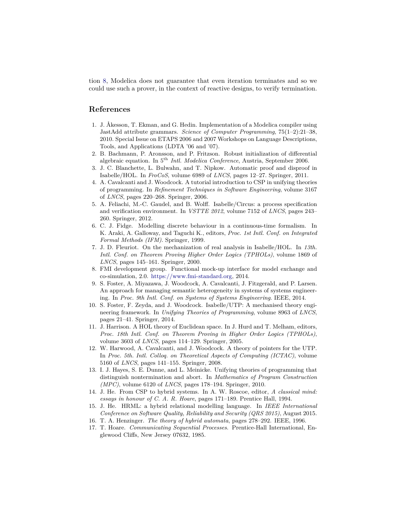tion 8, Modelica does not guarantee that even iteration terminates and so we could use such a prover, in the context of reactive designs, to verify termination.

### **References**

- 1. J. Åkesson, T. Ekman, and G. Hedin. Implementation of a Modelica compiler using JastAdd attribute grammars. *Science of Computer Programming*, 75(1–2):21–38, 2010. Special Issue on ETAPS 2006 and 2007 Workshops on Language Descriptions, Tools, and Applications (LDTA '06 and '07).
- 2. B. Bachmann, P. Aronsson, and P. Fritzson. Robust initialization of differential algebraic equation. In 5<sup>th</sup> *Intl. Modelica Conference*, Austria, September 2006.
- 3. J. C. Blanchette, L. Bulwahn, and T. Nipkow. Automatic proof and disproof in Isabelle/HOL. In *FroCoS*, volume 6989 of *LNCS*, pages 12–27. Springer, 2011.
- 4. A. Cavalcanti and J. Woodcock. A tutorial introduction to CSP in unifying theories of programming. In *Refinement Techniques in Software Engineering*, volume 3167 of *LNCS*, pages 220–268. Springer, 2006.
- 5. A. Feliachi, M.-C. Gaudel, and B. Wolff. Isabelle/Circus: a process specification and verification environment. In *VSTTE 2012*, volume 7152 of *LNCS*, pages 243– 260. Springer, 2012.
- 6. C. J. Fidge. Modelling discrete behaviour in a continuous-time formalism. In K. Araki, A. Galloway, and Taguchi K., editors, *Proc. 1st Intl. Conf. on Integrated Formal Methods (IFM)*. Springer, 1999.
- 7. J. D. Fleuriot. On the mechanization of real analysis in Isabelle/HOL. In *13th. Intl. Conf. on Theorem Proving Higher Order Logics (TPHOLs)*, volume 1869 of *LNCS*, pages 145–161. Springer, 2000.
- 8. FMI development group. Functional mock-up interface for model exchange and co-simulation, 2.0. https://www.fmi-standard.org, 2014.
- 9. S. Foster, A. Miyazawa, J. Woodcock, A. Cavalcanti, J. Fitzgerald, and P. Larsen. An approach for managing semantic heterogeneity in systems of systems engineering. In *Proc. 9th Intl. Conf. on Systems of Systems Engineering*. IEEE, 2014.
- 10. S. Foster, F. Zeyda, and J. Woodcock. Isabelle/UTP: A mechanised theory engineering framework. In *Unifying Theories of Programming*, volume 8963 of *LNCS*, pages 21–41. Springer, 2014.
- 11. J. Harrison. A HOL theory of Euclidean space. In J. Hurd and T. Melham, editors, *Proc. 18th Intl. Conf. on Theorem Proving in Higher Order Logics (TPHOLs)*, volume 3603 of *LNCS*, pages 114–129. Springer, 2005.
- 12. W. Harwood, A. Cavalcanti, and J. Woodcock. A theory of pointers for the UTP. In *Proc. 5th. Intl. Colloq. on Theoretical Aspects of Computing (ICTAC)*, volume 5160 of *LNCS*, pages 141–155. Springer, 2008.
- 13. I. J. Hayes, S. E. Dunne, and L. Meinicke. Unifying theories of programming that distinguish nontermination and abort. In *Mathematics of Program Construction (MPC)*, volume 6120 of *LNCS*, pages 178–194. Springer, 2010.
- 14. J. He. From CSP to hybrid systems. In A. W. Roscoe, editor, *A classical mind: essays in honour of C. A. R. Hoare*, pages 171–189. Prentice Hall, 1994.
- 15. J. He. HRML: a hybrid relational modelling language. In *IEEE International Conference on Software Quality, Reliability and Security (QRS 2015)*, August 2015.
- 16. T. A. Henzinger. *The theory of hybrid automata*, pages 278–292. IEEE, 1996.
- 17. T. Hoare. *Communicating Sequential Processes*. Prentice-Hall International, Englewood Cliffs, New Jersey 07632, 1985.